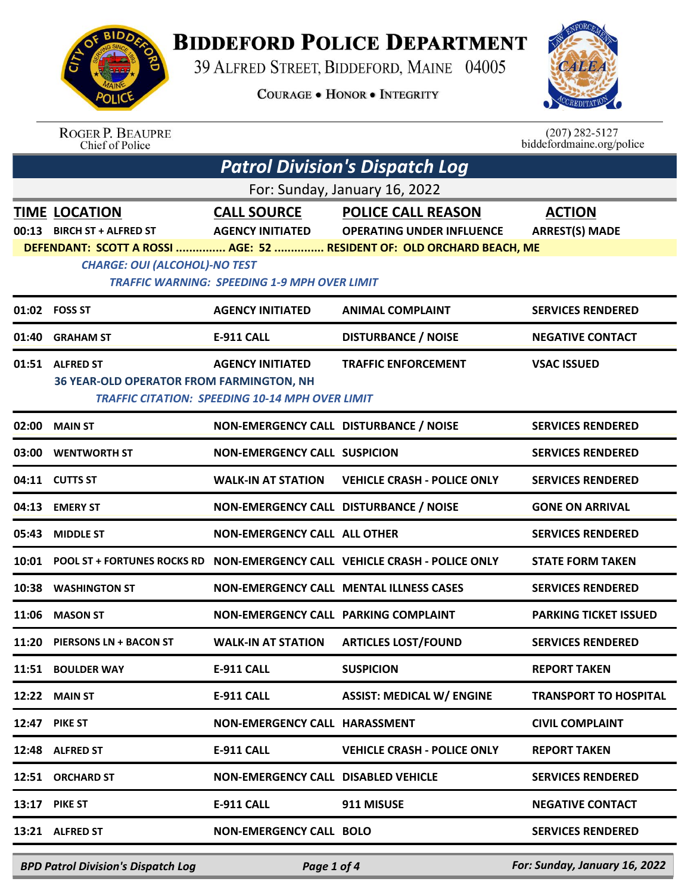

## **BIDDEFORD POLICE DEPARTMENT**

39 ALFRED STREET, BIDDEFORD, MAINE 04005

**COURAGE . HONOR . INTEGRITY** 



ROGER P. BEAUPRE<br>Chief of Police

 $(207)$  282-5127<br>biddefordmaine.org/police

| <b>Patrol Division's Dispatch Log</b> |                                                                    |                                                                                   |                                                                            |                                        |  |  |
|---------------------------------------|--------------------------------------------------------------------|-----------------------------------------------------------------------------------|----------------------------------------------------------------------------|----------------------------------------|--|--|
| For: Sunday, January 16, 2022         |                                                                    |                                                                                   |                                                                            |                                        |  |  |
| 00:13                                 | <b>TIME LOCATION</b><br><b>BIRCH ST + ALFRED ST</b>                | <b>CALL SOURCE</b><br><b>AGENCY INITIATED</b>                                     | <b>POLICE CALL REASON</b><br><b>OPERATING UNDER INFLUENCE</b>              | <b>ACTION</b><br><b>ARREST(S) MADE</b> |  |  |
|                                       | <b>CHARGE: OUI (ALCOHOL)-NO TEST</b>                               | <b>TRAFFIC WARNING: SPEEDING 1-9 MPH OVER LIMIT</b>                               | DEFENDANT: SCOTT A ROSSI  AGE: 52  RESIDENT OF: OLD ORCHARD BEACH, ME      |                                        |  |  |
|                                       | 01:02 FOSS ST                                                      | <b>AGENCY INITIATED</b>                                                           | <b>ANIMAL COMPLAINT</b>                                                    | <b>SERVICES RENDERED</b>               |  |  |
| 01:40                                 | <b>GRAHAM ST</b>                                                   | <b>E-911 CALL</b>                                                                 | <b>DISTURBANCE / NOISE</b>                                                 | <b>NEGATIVE CONTACT</b>                |  |  |
|                                       | 01:51 ALFRED ST<br><b>36 YEAR-OLD OPERATOR FROM FARMINGTON, NH</b> | <b>AGENCY INITIATED</b><br><b>TRAFFIC CITATION: SPEEDING 10-14 MPH OVER LIMIT</b> | <b>TRAFFIC ENFORCEMENT</b>                                                 | <b>VSAC ISSUED</b>                     |  |  |
| 02:00                                 | <b>MAIN ST</b>                                                     | NON-EMERGENCY CALL DISTURBANCE / NOISE                                            |                                                                            | <b>SERVICES RENDERED</b>               |  |  |
| 03:00                                 | <b>WENTWORTH ST</b>                                                | <b>NON-EMERGENCY CALL SUSPICION</b>                                               |                                                                            | <b>SERVICES RENDERED</b>               |  |  |
|                                       | 04:11 CUTTS ST                                                     | <b>WALK-IN AT STATION</b>                                                         | <b>VEHICLE CRASH - POLICE ONLY</b>                                         | <b>SERVICES RENDERED</b>               |  |  |
| 04:13                                 | <b>EMERY ST</b>                                                    | NON-EMERGENCY CALL DISTURBANCE / NOISE                                            |                                                                            | <b>GONE ON ARRIVAL</b>                 |  |  |
| 05:43                                 | <b>MIDDLE ST</b>                                                   | <b>NON-EMERGENCY CALL ALL OTHER</b>                                               |                                                                            | <b>SERVICES RENDERED</b>               |  |  |
| 10:01                                 |                                                                    |                                                                                   | POOL ST + FORTUNES ROCKS RD NON-EMERGENCY CALL VEHICLE CRASH - POLICE ONLY | <b>STATE FORM TAKEN</b>                |  |  |
| 10:38                                 | <b>WASHINGTON ST</b>                                               |                                                                                   | <b>NON-EMERGENCY CALL MENTAL ILLNESS CASES</b>                             | <b>SERVICES RENDERED</b>               |  |  |
| 11:06                                 | <b>MASON ST</b>                                                    | <b>NON-EMERGENCY CALL PARKING COMPLAINT</b>                                       |                                                                            | <b>PARKING TICKET ISSUED</b>           |  |  |
| 11:20                                 | <b>PIERSONS LN + BACON ST</b>                                      | <b>WALK-IN AT STATION</b>                                                         | <b>ARTICLES LOST/FOUND</b>                                                 | <b>SERVICES RENDERED</b>               |  |  |
|                                       | 11:51 BOULDER WAY                                                  | <b>E-911 CALL</b>                                                                 | <b>SUSPICION</b>                                                           | <b>REPORT TAKEN</b>                    |  |  |
| 12:22                                 | <b>MAIN ST</b>                                                     | E-911 CALL                                                                        | <b>ASSIST: MEDICAL W/ ENGINE</b>                                           | <b>TRANSPORT TO HOSPITAL</b>           |  |  |
| 12:47                                 | <b>PIKE ST</b>                                                     | <b>NON-EMERGENCY CALL HARASSMENT</b>                                              |                                                                            | <b>CIVIL COMPLAINT</b>                 |  |  |
|                                       | 12:48 ALFRED ST                                                    | E-911 CALL                                                                        | <b>VEHICLE CRASH - POLICE ONLY</b>                                         | <b>REPORT TAKEN</b>                    |  |  |
| 12:51                                 | <b>ORCHARD ST</b>                                                  | <b>NON-EMERGENCY CALL DISABLED VEHICLE</b>                                        |                                                                            | <b>SERVICES RENDERED</b>               |  |  |
| 13:17                                 | <b>PIKE ST</b>                                                     | E-911 CALL                                                                        | 911 MISUSE                                                                 | <b>NEGATIVE CONTACT</b>                |  |  |
|                                       | 13:21 ALFRED ST                                                    | <b>NON-EMERGENCY CALL BOLO</b>                                                    |                                                                            | <b>SERVICES RENDERED</b>               |  |  |
|                                       | <b>BPD Patrol Division's Dispatch Log</b>                          | Page 1 of 4                                                                       |                                                                            | For: Sunday, January 16, 2022          |  |  |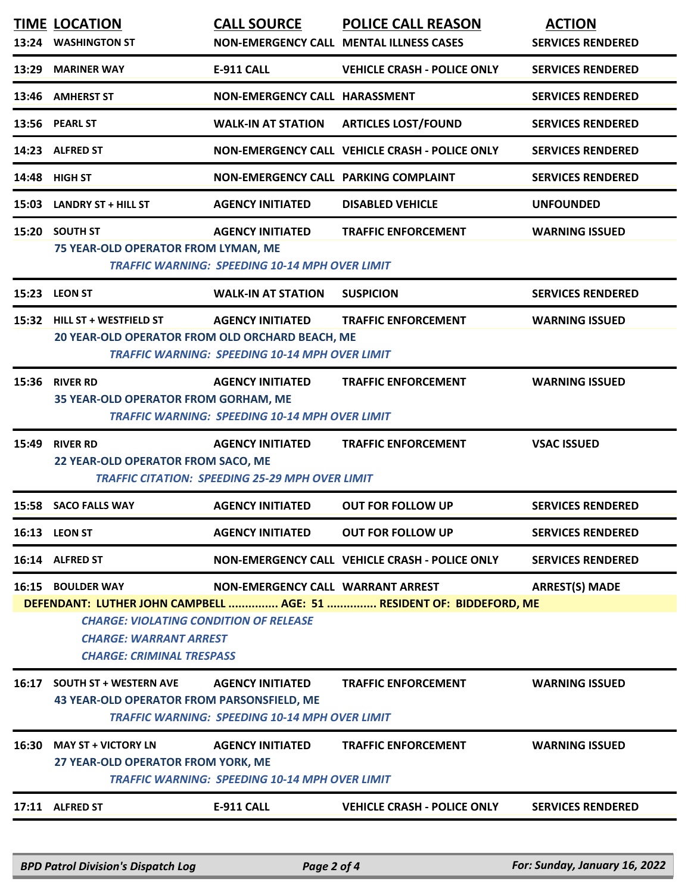| 13:24 | <b>TIME LOCATION</b><br><b>WASHINGTON ST</b>                                                                                                                                                   | <b>CALL SOURCE</b>                                                               | <b>POLICE CALL REASON</b><br>NON-EMERGENCY CALL MENTAL ILLNESS CASES | <b>ACTION</b><br><b>SERVICES RENDERED</b> |  |
|-------|------------------------------------------------------------------------------------------------------------------------------------------------------------------------------------------------|----------------------------------------------------------------------------------|----------------------------------------------------------------------|-------------------------------------------|--|
| 13:29 | <b>MARINER WAY</b>                                                                                                                                                                             | <b>E-911 CALL</b>                                                                | <b>VEHICLE CRASH - POLICE ONLY</b>                                   | <b>SERVICES RENDERED</b>                  |  |
| 13:46 | <b>AMHERST ST</b>                                                                                                                                                                              | NON-EMERGENCY CALL HARASSMENT                                                    |                                                                      | <b>SERVICES RENDERED</b>                  |  |
| 13:56 | <b>PEARL ST</b>                                                                                                                                                                                | <b>WALK-IN AT STATION</b>                                                        | <b>ARTICLES LOST/FOUND</b>                                           | <b>SERVICES RENDERED</b>                  |  |
| 14:23 | <b>ALFRED ST</b>                                                                                                                                                                               |                                                                                  | NON-EMERGENCY CALL VEHICLE CRASH - POLICE ONLY                       | <b>SERVICES RENDERED</b>                  |  |
| 14:48 | <b>HIGH ST</b>                                                                                                                                                                                 | NON-EMERGENCY CALL PARKING COMPLAINT                                             |                                                                      | <b>SERVICES RENDERED</b>                  |  |
| 15:03 | <b>LANDRY ST + HILL ST</b>                                                                                                                                                                     | <b>AGENCY INITIATED</b>                                                          | <b>DISABLED VEHICLE</b>                                              | <b>UNFOUNDED</b>                          |  |
| 15:20 | <b>SOUTH ST</b><br>75 YEAR-OLD OPERATOR FROM LYMAN, ME                                                                                                                                         | <b>AGENCY INITIATED</b><br><b>TRAFFIC WARNING: SPEEDING 10-14 MPH OVER LIMIT</b> | <b>TRAFFIC ENFORCEMENT</b>                                           | <b>WARNING ISSUED</b>                     |  |
|       | 15:23 LEON ST                                                                                                                                                                                  | <b>WALK-IN AT STATION</b>                                                        | <b>SUSPICION</b>                                                     | <b>SERVICES RENDERED</b>                  |  |
| 15:32 | HILL ST + WESTFIELD ST<br>20 YEAR-OLD OPERATOR FROM OLD ORCHARD BEACH, ME                                                                                                                      | <b>AGENCY INITIATED</b><br><b>TRAFFIC WARNING: SPEEDING 10-14 MPH OVER LIMIT</b> | <b>TRAFFIC ENFORCEMENT</b>                                           | <b>WARNING ISSUED</b>                     |  |
| 15:36 | <b>RIVER RD</b><br>35 YEAR-OLD OPERATOR FROM GORHAM, ME                                                                                                                                        | <b>AGENCY INITIATED</b><br><b>TRAFFIC WARNING: SPEEDING 10-14 MPH OVER LIMIT</b> | <b>TRAFFIC ENFORCEMENT</b>                                           | <b>WARNING ISSUED</b>                     |  |
| 15:49 | <b>RIVER RD</b><br><b>AGENCY INITIATED</b><br><b>TRAFFIC ENFORCEMENT</b><br><b>VSAC ISSUED</b><br>22 YEAR-OLD OPERATOR FROM SACO, ME<br><b>TRAFFIC CITATION: SPEEDING 25-29 MPH OVER LIMIT</b> |                                                                                  |                                                                      |                                           |  |
| 15:58 | <b>SACO FALLS WAY</b>                                                                                                                                                                          | <b>AGENCY INITIATED</b>                                                          | <b>OUT FOR FOLLOW UP</b>                                             | <b>SERVICES RENDERED</b>                  |  |
|       | 16:13 LEON ST                                                                                                                                                                                  | <b>AGENCY INITIATED</b>                                                          | <b>OUT FOR FOLLOW UP</b>                                             | <b>SERVICES RENDERED</b>                  |  |
|       | 16:14 ALFRED ST                                                                                                                                                                                |                                                                                  | NON-EMERGENCY CALL VEHICLE CRASH - POLICE ONLY                       | <b>SERVICES RENDERED</b>                  |  |
|       | 16:15 BOULDER WAY<br><b>CHARGE: VIOLATING CONDITION OF RELEASE</b><br><b>CHARGE: WARRANT ARREST</b><br><b>CHARGE: CRIMINAL TRESPASS</b>                                                        | NON-EMERGENCY CALL WARRANT ARREST                                                | DEFENDANT: LUTHER JOHN CAMPBELL  AGE: 51  RESIDENT OF: BIDDEFORD, ME | <b>ARREST(S) MADE</b>                     |  |
|       | 16:17 SOUTH ST + WESTERN AVE<br>43 YEAR-OLD OPERATOR FROM PARSONSFIELD, ME                                                                                                                     | <b>AGENCY INITIATED</b><br><b>TRAFFIC WARNING: SPEEDING 10-14 MPH OVER LIMIT</b> | <b>TRAFFIC ENFORCEMENT</b>                                           | <b>WARNING ISSUED</b>                     |  |
| 16:30 | <b>MAY ST + VICTORY LN</b><br>27 YEAR-OLD OPERATOR FROM YORK, ME                                                                                                                               | <b>AGENCY INITIATED</b><br><b>TRAFFIC WARNING: SPEEDING 10-14 MPH OVER LIMIT</b> | <b>TRAFFIC ENFORCEMENT</b>                                           | <b>WARNING ISSUED</b>                     |  |
|       | 17:11 ALFRED ST                                                                                                                                                                                | <b>E-911 CALL</b>                                                                | <b>VEHICLE CRASH - POLICE ONLY</b>                                   | <b>SERVICES RENDERED</b>                  |  |
|       | <b>BPD Patrol Division's Dispatch Log</b>                                                                                                                                                      | Page 2 of 4                                                                      |                                                                      | For: Sunday, January 16, 2022             |  |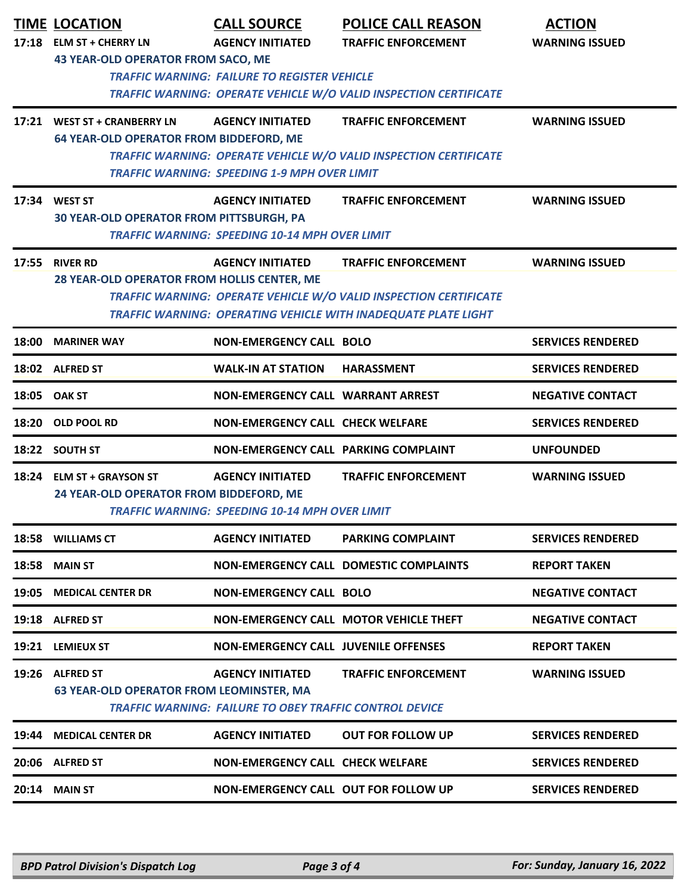|       | <b>TIME LOCATION</b>                                          | <b>CALL SOURCE</b>                                             | <b>POLICE CALL REASON</b>                                                | <b>ACTION</b>            |
|-------|---------------------------------------------------------------|----------------------------------------------------------------|--------------------------------------------------------------------------|--------------------------|
|       | 17:18 ELM ST + CHERRY LN                                      | <b>AGENCY INITIATED</b>                                        | <b>TRAFFIC ENFORCEMENT</b>                                               | <b>WARNING ISSUED</b>    |
|       | 43 YEAR-OLD OPERATOR FROM SACO, ME                            |                                                                |                                                                          |                          |
|       |                                                               | <b>TRAFFIC WARNING: FAILURE TO REGISTER VEHICLE</b>            |                                                                          |                          |
|       |                                                               |                                                                | <b>TRAFFIC WARNING: OPERATE VEHICLE W/O VALID INSPECTION CERTIFICATE</b> |                          |
|       | 17:21 WEST ST + CRANBERRY LN                                  | <b>AGENCY INITIATED</b>                                        | <b>TRAFFIC ENFORCEMENT</b>                                               | <b>WARNING ISSUED</b>    |
|       | <b>64 YEAR-OLD OPERATOR FROM BIDDEFORD, ME</b>                |                                                                |                                                                          |                          |
|       |                                                               | <b>TRAFFIC WARNING: SPEEDING 1-9 MPH OVER LIMIT</b>            | <b>TRAFFIC WARNING: OPERATE VEHICLE W/O VALID INSPECTION CERTIFICATE</b> |                          |
|       |                                                               |                                                                |                                                                          |                          |
|       | 17:34 WEST ST                                                 | <b>AGENCY INITIATED</b>                                        | <b>TRAFFIC ENFORCEMENT</b>                                               | <b>WARNING ISSUED</b>    |
|       | 30 YEAR-OLD OPERATOR FROM PITTSBURGH, PA                      | <b>TRAFFIC WARNING: SPEEDING 10-14 MPH OVER LIMIT</b>          |                                                                          |                          |
|       |                                                               |                                                                |                                                                          |                          |
|       | 17:55 RIVER RD<br>28 YEAR-OLD OPERATOR FROM HOLLIS CENTER, ME | <b>AGENCY INITIATED</b>                                        | <b>TRAFFIC ENFORCEMENT</b>                                               | <b>WARNING ISSUED</b>    |
|       |                                                               |                                                                | <b>TRAFFIC WARNING: OPERATE VEHICLE W/O VALID INSPECTION CERTIFICATE</b> |                          |
|       |                                                               |                                                                | TRAFFIC WARNING: OPERATING VEHICLE WITH INADEQUATE PLATE LIGHT           |                          |
| 18:00 | <b>MARINER WAY</b>                                            | <b>NON-EMERGENCY CALL BOLO</b>                                 |                                                                          | <b>SERVICES RENDERED</b> |
|       | 18:02 ALFRED ST                                               | <b>WALK-IN AT STATION</b>                                      | <b>HARASSMENT</b>                                                        | <b>SERVICES RENDERED</b> |
|       | 18:05 OAK ST                                                  | <b>NON-EMERGENCY CALL WARRANT ARREST</b>                       |                                                                          | <b>NEGATIVE CONTACT</b>  |
|       | 18:20 OLD POOL RD                                             | <b>NON-EMERGENCY CALL CHECK WELFARE</b>                        |                                                                          | <b>SERVICES RENDERED</b> |
|       | 18:22 SOUTH ST                                                | NON-EMERGENCY CALL PARKING COMPLAINT                           |                                                                          | <b>UNFOUNDED</b>         |
|       | 18:24 ELM ST + GRAYSON ST                                     | <b>AGENCY INITIATED</b>                                        | <b>TRAFFIC ENFORCEMENT</b>                                               | <b>WARNING ISSUED</b>    |
|       | 24 YEAR-OLD OPERATOR FROM BIDDEFORD, ME                       |                                                                |                                                                          |                          |
|       |                                                               | <b>TRAFFIC WARNING: SPEEDING 10-14 MPH OVER LIMIT</b>          |                                                                          |                          |
|       | 18:58 WILLIAMS CT                                             | <b>AGENCY INITIATED</b>                                        | <b>PARKING COMPLAINT</b>                                                 | <b>SERVICES RENDERED</b> |
| 18:58 | <b>MAIN ST</b>                                                |                                                                | <b>NON-EMERGENCY CALL DOMESTIC COMPLAINTS</b>                            | <b>REPORT TAKEN</b>      |
| 19:05 | <b>MEDICAL CENTER DR</b>                                      | <b>NON-EMERGENCY CALL BOLO</b>                                 |                                                                          | <b>NEGATIVE CONTACT</b>  |
|       | 19:18 ALFRED ST                                               |                                                                | NON-EMERGENCY CALL MOTOR VEHICLE THEFT                                   | <b>NEGATIVE CONTACT</b>  |
|       | 19:21 LEMIEUX ST                                              | <b>NON-EMERGENCY CALL JUVENILE OFFENSES</b>                    |                                                                          | <b>REPORT TAKEN</b>      |
|       | 19:26 ALFRED ST                                               | <b>AGENCY INITIATED</b>                                        | <b>TRAFFIC ENFORCEMENT</b>                                               | <b>WARNING ISSUED</b>    |
|       | <b>63 YEAR-OLD OPERATOR FROM LEOMINSTER, MA</b>               | <b>TRAFFIC WARNING: FAILURE TO OBEY TRAFFIC CONTROL DEVICE</b> |                                                                          |                          |
| 19:44 | <b>MEDICAL CENTER DR</b>                                      | <b>AGENCY INITIATED</b>                                        | <b>OUT FOR FOLLOW UP</b>                                                 | <b>SERVICES RENDERED</b> |
|       | 20:06 ALFRED ST                                               | <b>NON-EMERGENCY CALL CHECK WELFARE</b>                        |                                                                          | <b>SERVICES RENDERED</b> |
| 20:14 | <b>MAIN ST</b>                                                | NON-EMERGENCY CALL OUT FOR FOLLOW UP                           |                                                                          | <b>SERVICES RENDERED</b> |
|       |                                                               |                                                                |                                                                          |                          |